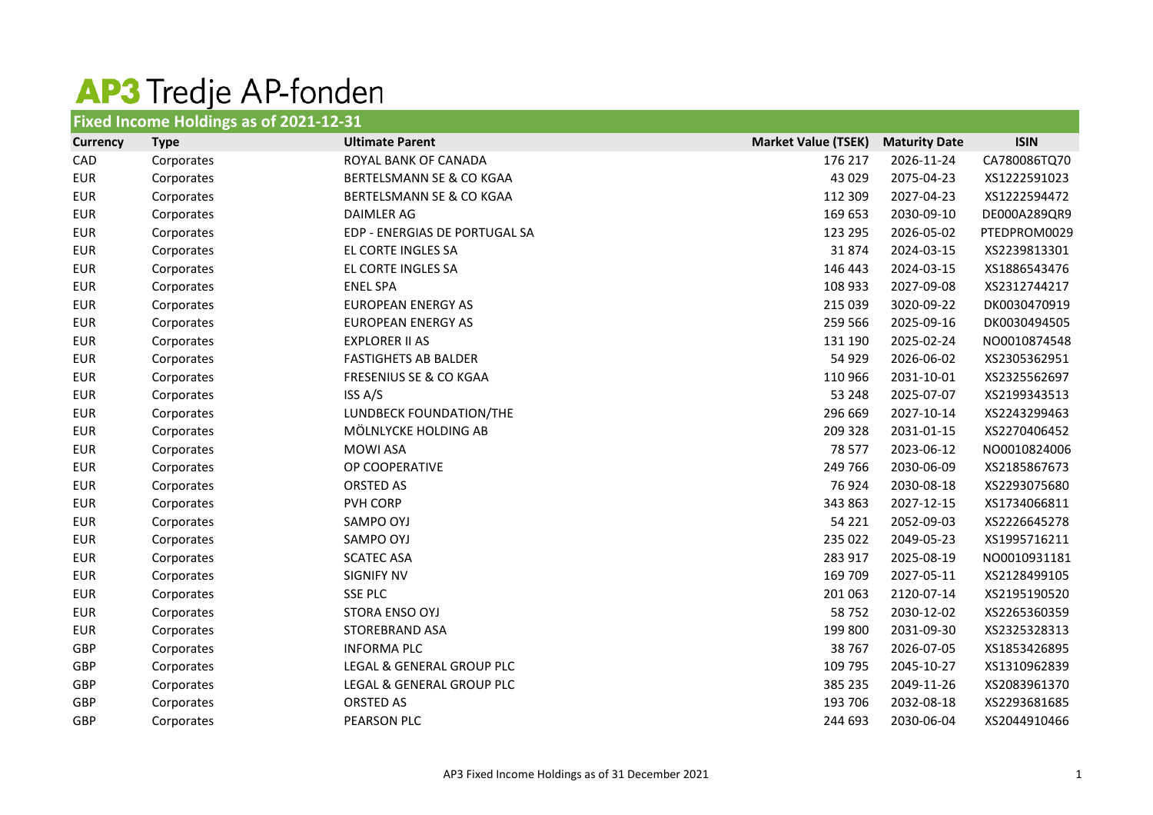## AP3 Tredje AP-fonden

| Fixed Income Holdings as of 2021-12-31 |             |                                     |                            |                      |              |  |
|----------------------------------------|-------------|-------------------------------------|----------------------------|----------------------|--------------|--|
| <b>Currency</b>                        | <b>Type</b> | <b>Ultimate Parent</b>              | <b>Market Value (TSEK)</b> | <b>Maturity Date</b> | <b>ISIN</b>  |  |
| CAD                                    | Corporates  | ROYAL BANK OF CANADA                | 176 217                    | 2026-11-24           | CA780086TQ70 |  |
| <b>EUR</b>                             | Corporates  | <b>BERTELSMANN SE &amp; CO KGAA</b> | 43 0 29                    | 2075-04-23           | XS1222591023 |  |
| <b>EUR</b>                             | Corporates  | BERTELSMANN SE & CO KGAA            | 112 309                    | 2027-04-23           | XS1222594472 |  |
| <b>EUR</b>                             | Corporates  | <b>DAIMLER AG</b>                   | 169 653                    | 2030-09-10           | DE000A289QR9 |  |
| <b>EUR</b>                             | Corporates  | EDP - ENERGIAS DE PORTUGAL SA       | 123 295                    | 2026-05-02           | PTEDPROM0029 |  |
| <b>EUR</b>                             | Corporates  | EL CORTE INGLES SA                  | 31874                      | 2024-03-15           | XS2239813301 |  |
| <b>EUR</b>                             | Corporates  | EL CORTE INGLES SA                  | 146 443                    | 2024-03-15           | XS1886543476 |  |
| <b>EUR</b>                             | Corporates  | <b>ENEL SPA</b>                     | 108 933                    | 2027-09-08           | XS2312744217 |  |
| <b>EUR</b>                             | Corporates  | <b>EUROPEAN ENERGY AS</b>           | 215 039                    | 3020-09-22           | DK0030470919 |  |
| <b>EUR</b>                             | Corporates  | <b>EUROPEAN ENERGY AS</b>           | 259 566                    | 2025-09-16           | DK0030494505 |  |
| <b>EUR</b>                             | Corporates  | <b>EXPLORER II AS</b>               | 131 190                    | 2025-02-24           | NO0010874548 |  |
| <b>EUR</b>                             | Corporates  | <b>FASTIGHETS AB BALDER</b>         | 54 929                     | 2026-06-02           | XS2305362951 |  |
| <b>EUR</b>                             | Corporates  | <b>FRESENIUS SE &amp; CO KGAA</b>   | 110 966                    | 2031-10-01           | XS2325562697 |  |
| <b>EUR</b>                             | Corporates  | ISS A/S                             | 53 248                     | 2025-07-07           | XS2199343513 |  |
| <b>EUR</b>                             | Corporates  | LUNDBECK FOUNDATION/THE             | 296 669                    | 2027-10-14           | XS2243299463 |  |
| <b>EUR</b>                             | Corporates  | MÖLNLYCKE HOLDING AB                | 209 328                    | 2031-01-15           | XS2270406452 |  |
| <b>EUR</b>                             | Corporates  | <b>MOWI ASA</b>                     | 78 577                     | 2023-06-12           | NO0010824006 |  |
| <b>EUR</b>                             | Corporates  | OP COOPERATIVE                      | 249 766                    | 2030-06-09           | XS2185867673 |  |
| <b>EUR</b>                             | Corporates  | ORSTED AS                           | 76 924                     | 2030-08-18           | XS2293075680 |  |
| <b>EUR</b>                             | Corporates  | PVH CORP                            | 343 863                    | 2027-12-15           | XS1734066811 |  |
| <b>EUR</b>                             | Corporates  | SAMPO OYJ                           | 54 221                     | 2052-09-03           | XS2226645278 |  |
| <b>EUR</b>                             | Corporates  | SAMPO OYJ                           | 235 022                    | 2049-05-23           | XS1995716211 |  |
| <b>EUR</b>                             | Corporates  | <b>SCATEC ASA</b>                   | 283 917                    | 2025-08-19           | NO0010931181 |  |
| <b>EUR</b>                             | Corporates  | <b>SIGNIFY NV</b>                   | 169 709                    | 2027-05-11           | XS2128499105 |  |
| <b>EUR</b>                             | Corporates  | <b>SSE PLC</b>                      | 201 063                    | 2120-07-14           | XS2195190520 |  |
| <b>EUR</b>                             | Corporates  | STORA ENSO OYJ                      | 58 752                     | 2030-12-02           | XS2265360359 |  |
| <b>EUR</b>                             | Corporates  | STOREBRAND ASA                      | 199 800                    | 2031-09-30           | XS2325328313 |  |
| GBP                                    | Corporates  | <b>INFORMA PLC</b>                  | 38 767                     | 2026-07-05           | XS1853426895 |  |
| GBP                                    | Corporates  | LEGAL & GENERAL GROUP PLC           | 109 795                    | 2045-10-27           | XS1310962839 |  |
| GBP                                    | Corporates  | LEGAL & GENERAL GROUP PLC           | 385 235                    | 2049-11-26           | XS2083961370 |  |
| <b>GBP</b>                             | Corporates  | <b>ORSTED AS</b>                    | 193 706                    | 2032-08-18           | XS2293681685 |  |
| GBP                                    | Corporates  | PEARSON PLC                         | 244 693                    | 2030-06-04           | XS2044910466 |  |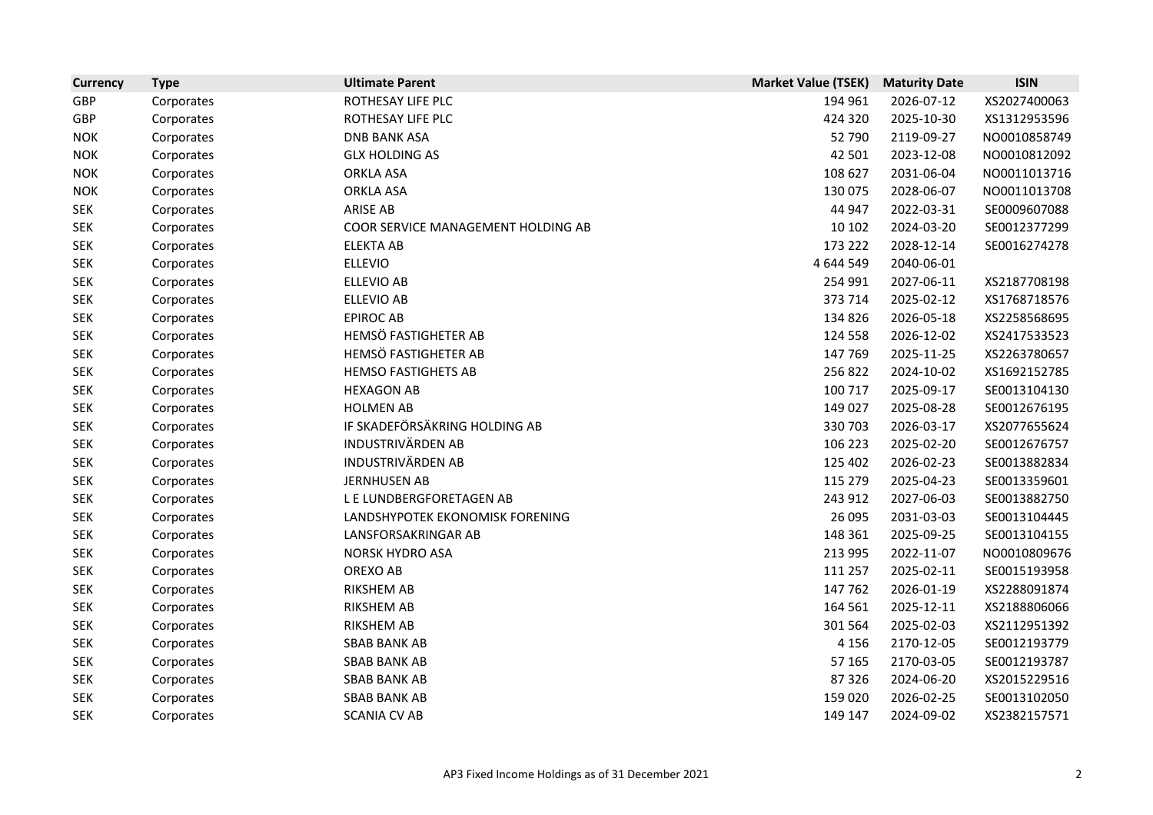| <b>Currency</b> | <b>Type</b> | <b>Ultimate Parent</b>             | <b>Market Value (TSEK)</b> | <b>Maturity Date</b> | <b>ISIN</b>  |
|-----------------|-------------|------------------------------------|----------------------------|----------------------|--------------|
| <b>GBP</b>      | Corporates  | ROTHESAY LIFE PLC                  | 194 961                    | 2026-07-12           | XS2027400063 |
| <b>GBP</b>      | Corporates  | ROTHESAY LIFE PLC                  | 424 320                    | 2025-10-30           | XS1312953596 |
| <b>NOK</b>      | Corporates  | <b>DNB BANK ASA</b>                | 52 790                     | 2119-09-27           | NO0010858749 |
| <b>NOK</b>      | Corporates  | <b>GLX HOLDING AS</b>              | 42 501                     | 2023-12-08           | NO0010812092 |
| <b>NOK</b>      | Corporates  | <b>ORKLA ASA</b>                   | 108 627                    | 2031-06-04           | NO0011013716 |
| <b>NOK</b>      | Corporates  | <b>ORKLA ASA</b>                   | 130 075                    | 2028-06-07           | NO0011013708 |
| <b>SEK</b>      | Corporates  | <b>ARISE AB</b>                    | 44 947                     | 2022-03-31           | SE0009607088 |
| <b>SEK</b>      | Corporates  | COOR SERVICE MANAGEMENT HOLDING AB | 10 10 2                    | 2024-03-20           | SE0012377299 |
| <b>SEK</b>      | Corporates  | <b>ELEKTA AB</b>                   | 173 222                    | 2028-12-14           | SE0016274278 |
| <b>SEK</b>      | Corporates  | <b>ELLEVIO</b>                     | 4 644 549                  | 2040-06-01           |              |
| <b>SEK</b>      | Corporates  | <b>ELLEVIO AB</b>                  | 254 991                    | 2027-06-11           | XS2187708198 |
| <b>SEK</b>      | Corporates  | <b>ELLEVIO AB</b>                  | 373 714                    | 2025-02-12           | XS1768718576 |
| <b>SEK</b>      | Corporates  | <b>EPIROC AB</b>                   | 134 826                    | 2026-05-18           | XS2258568695 |
| <b>SEK</b>      | Corporates  | HEMSÖ FASTIGHETER AB               | 124 558                    | 2026-12-02           | XS2417533523 |
| <b>SEK</b>      | Corporates  | HEMSÖ FASTIGHETER AB               | 147 769                    | 2025-11-25           | XS2263780657 |
| <b>SEK</b>      | Corporates  | <b>HEMSO FASTIGHETS AB</b>         | 256 822                    | 2024-10-02           | XS1692152785 |
| <b>SEK</b>      | Corporates  | <b>HEXAGON AB</b>                  | 100 717                    | 2025-09-17           | SE0013104130 |
| <b>SEK</b>      | Corporates  | <b>HOLMEN AB</b>                   | 149 027                    | 2025-08-28           | SE0012676195 |
| <b>SEK</b>      | Corporates  | IF SKADEFÖRSÄKRING HOLDING AB      | 330 703                    | 2026-03-17           | XS2077655624 |
| <b>SEK</b>      | Corporates  | <b>INDUSTRIVÄRDEN AB</b>           | 106 223                    | 2025-02-20           | SE0012676757 |
| <b>SEK</b>      | Corporates  | <b>INDUSTRIVÄRDEN AB</b>           | 125 402                    | 2026-02-23           | SE0013882834 |
| <b>SEK</b>      | Corporates  | <b>JERNHUSEN AB</b>                | 115 279                    | 2025-04-23           | SE0013359601 |
| <b>SEK</b>      | Corporates  | L E LUNDBERGFORETAGEN AB           | 243 912                    | 2027-06-03           | SE0013882750 |
| <b>SEK</b>      | Corporates  | LANDSHYPOTEK EKONOMISK FORENING    | 26 095                     | 2031-03-03           | SE0013104445 |
| <b>SEK</b>      | Corporates  | LANSFORSAKRINGAR AB                | 148 361                    | 2025-09-25           | SE0013104155 |
| <b>SEK</b>      | Corporates  | <b>NORSK HYDRO ASA</b>             | 213 995                    | 2022-11-07           | NO0010809676 |
| <b>SEK</b>      | Corporates  | OREXO AB                           | 111 257                    | 2025-02-11           | SE0015193958 |
| <b>SEK</b>      | Corporates  | RIKSHEM AB                         | 147 762                    | 2026-01-19           | XS2288091874 |
| <b>SEK</b>      | Corporates  | RIKSHEM AB                         | 164 561                    | 2025-12-11           | XS2188806066 |
| <b>SEK</b>      | Corporates  | RIKSHEM AB                         | 301 564                    | 2025-02-03           | XS2112951392 |
| <b>SEK</b>      | Corporates  | <b>SBAB BANK AB</b>                | 4 1 5 6                    | 2170-12-05           | SE0012193779 |
| <b>SEK</b>      | Corporates  | <b>SBAB BANK AB</b>                | 57 165                     | 2170-03-05           | SE0012193787 |
| <b>SEK</b>      | Corporates  | <b>SBAB BANK AB</b>                | 87 326                     | 2024-06-20           | XS2015229516 |
| <b>SEK</b>      | Corporates  | <b>SBAB BANK AB</b>                | 159 020                    | 2026-02-25           | SE0013102050 |
| <b>SEK</b>      | Corporates  | <b>SCANIA CV AB</b>                | 149 147                    | 2024-09-02           | XS2382157571 |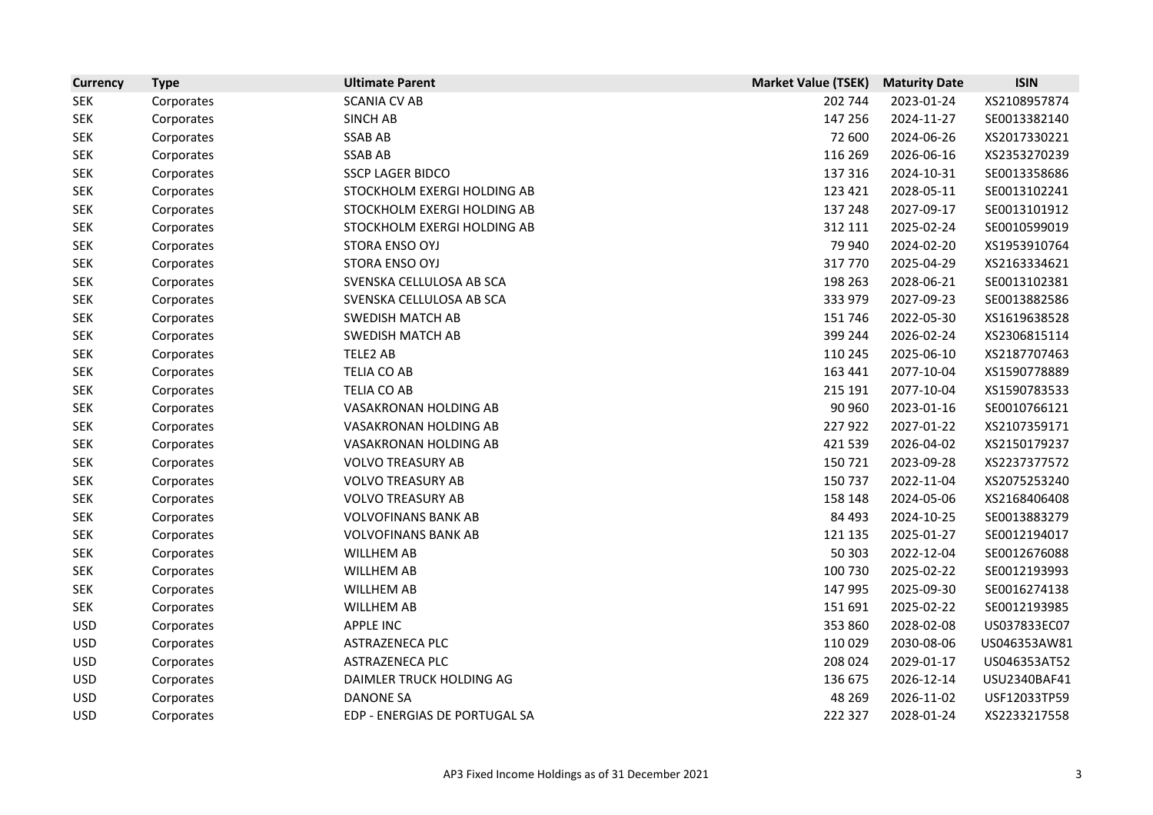| <b>Currency</b> | <b>Type</b> | <b>Ultimate Parent</b>        | <b>Market Value (TSEK)</b> | <b>Maturity Date</b> | <b>ISIN</b>  |
|-----------------|-------------|-------------------------------|----------------------------|----------------------|--------------|
| <b>SEK</b>      | Corporates  | <b>SCANIA CV AB</b>           | 202 744                    | 2023-01-24           | XS2108957874 |
| <b>SEK</b>      | Corporates  | <b>SINCH AB</b>               | 147 256                    | 2024-11-27           | SE0013382140 |
| <b>SEK</b>      | Corporates  | <b>SSAB AB</b>                | 72 600                     | 2024-06-26           | XS2017330221 |
| <b>SEK</b>      | Corporates  | <b>SSAB AB</b>                | 116 269                    | 2026-06-16           | XS2353270239 |
| <b>SEK</b>      | Corporates  | <b>SSCP LAGER BIDCO</b>       | 137 316                    | 2024-10-31           | SE0013358686 |
| <b>SEK</b>      | Corporates  | STOCKHOLM EXERGI HOLDING AB   | 123 421                    | 2028-05-11           | SE0013102241 |
| <b>SEK</b>      | Corporates  | STOCKHOLM EXERGI HOLDING AB   | 137 248                    | 2027-09-17           | SE0013101912 |
| <b>SEK</b>      | Corporates  | STOCKHOLM EXERGI HOLDING AB   | 312 111                    | 2025-02-24           | SE0010599019 |
| <b>SEK</b>      | Corporates  | STORA ENSO OYJ                | 79 940                     | 2024-02-20           | XS1953910764 |
| <b>SEK</b>      | Corporates  | STORA ENSO OYJ                | 317 770                    | 2025-04-29           | XS2163334621 |
| <b>SEK</b>      | Corporates  | SVENSKA CELLULOSA AB SCA      | 198 263                    | 2028-06-21           | SE0013102381 |
| <b>SEK</b>      | Corporates  | SVENSKA CELLULOSA AB SCA      | 333 979                    | 2027-09-23           | SE0013882586 |
| <b>SEK</b>      | Corporates  | <b>SWEDISH MATCH AB</b>       | 151 746                    | 2022-05-30           | XS1619638528 |
| <b>SEK</b>      | Corporates  | <b>SWEDISH MATCH AB</b>       | 399 244                    | 2026-02-24           | XS2306815114 |
| <b>SEK</b>      | Corporates  | TELE2 AB                      | 110 245                    | 2025-06-10           | XS2187707463 |
| <b>SEK</b>      | Corporates  | TELIA CO AB                   | 163 441                    | 2077-10-04           | XS1590778889 |
| <b>SEK</b>      | Corporates  | <b>TELIA CO AB</b>            | 215 191                    | 2077-10-04           | XS1590783533 |
| <b>SEK</b>      | Corporates  | VASAKRONAN HOLDING AB         | 90 960                     | 2023-01-16           | SE0010766121 |
| <b>SEK</b>      | Corporates  | VASAKRONAN HOLDING AB         | 227 922                    | 2027-01-22           | XS2107359171 |
| <b>SEK</b>      | Corporates  | VASAKRONAN HOLDING AB         | 421 539                    | 2026-04-02           | XS2150179237 |
| <b>SEK</b>      | Corporates  | <b>VOLVO TREASURY AB</b>      | 150 721                    | 2023-09-28           | XS2237377572 |
| <b>SEK</b>      | Corporates  | <b>VOLVO TREASURY AB</b>      | 150 737                    | 2022-11-04           | XS2075253240 |
| <b>SEK</b>      | Corporates  | <b>VOLVO TREASURY AB</b>      | 158 148                    | 2024-05-06           | XS2168406408 |
| <b>SEK</b>      | Corporates  | <b>VOLVOFINANS BANK AB</b>    | 84 493                     | 2024-10-25           | SE0013883279 |
| <b>SEK</b>      | Corporates  | <b>VOLVOFINANS BANK AB</b>    | 121 135                    | 2025-01-27           | SE0012194017 |
| <b>SEK</b>      | Corporates  | <b>WILLHEM AB</b>             | 50 30 3                    | 2022-12-04           | SE0012676088 |
| <b>SEK</b>      | Corporates  | <b>WILLHEM AB</b>             | 100 730                    | 2025-02-22           | SE0012193993 |
| <b>SEK</b>      | Corporates  | WILLHEM AB                    | 147 995                    | 2025-09-30           | SE0016274138 |
| <b>SEK</b>      | Corporates  | <b>WILLHEM AB</b>             | 151 691                    | 2025-02-22           | SE0012193985 |
| <b>USD</b>      | Corporates  | <b>APPLE INC</b>              | 353 860                    | 2028-02-08           | US037833EC07 |
| <b>USD</b>      | Corporates  | ASTRAZENECA PLC               | 110 029                    | 2030-08-06           | US046353AW81 |
| <b>USD</b>      | Corporates  | ASTRAZENECA PLC               | 208 024                    | 2029-01-17           | US046353AT52 |
| <b>USD</b>      | Corporates  | DAIMLER TRUCK HOLDING AG      | 136 675                    | 2026-12-14           | USU2340BAF41 |
| <b>USD</b>      | Corporates  | <b>DANONE SA</b>              | 48 269                     | 2026-11-02           | USF12033TP59 |
| <b>USD</b>      | Corporates  | EDP - ENERGIAS DE PORTUGAL SA | 222 327                    | 2028-01-24           | XS2233217558 |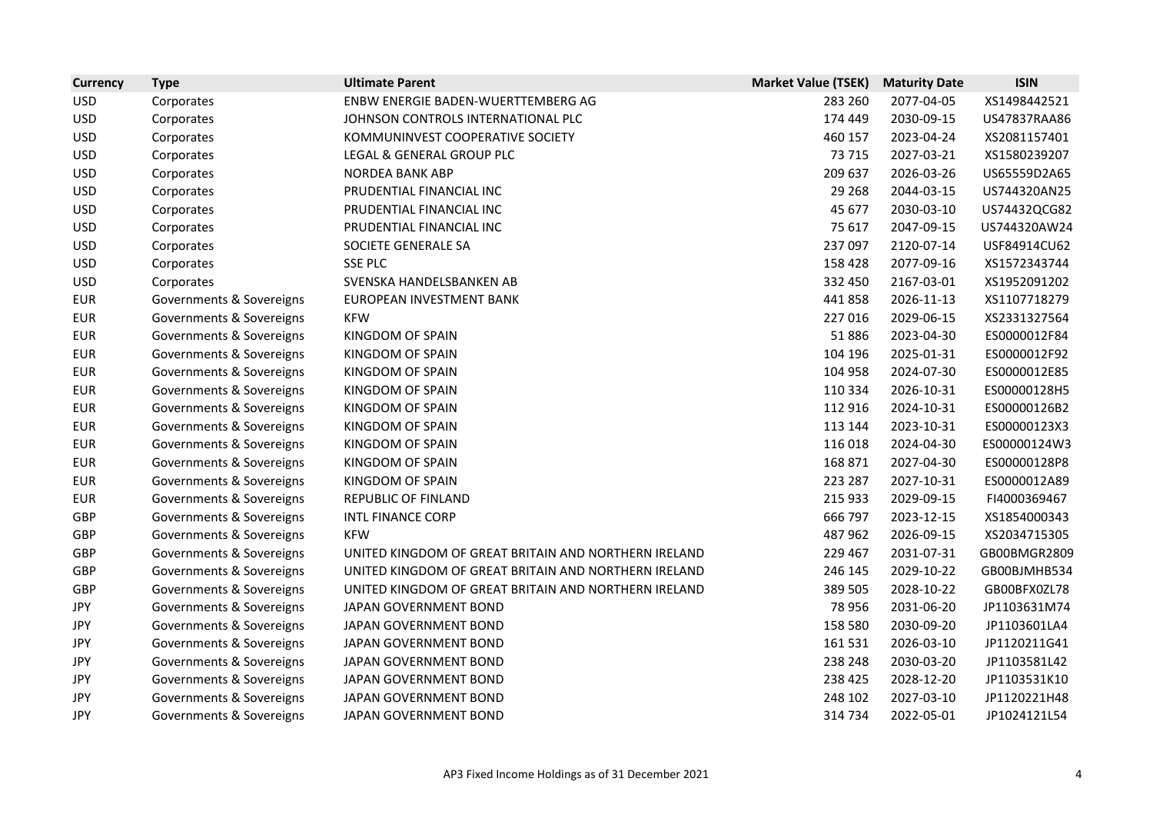| <b>Currency</b> | <b>Type</b>              | <b>Ultimate Parent</b>                               | <b>Market Value (TSEK)</b> | <b>Maturity Date</b> | <b>ISIN</b>  |
|-----------------|--------------------------|------------------------------------------------------|----------------------------|----------------------|--------------|
| <b>USD</b>      | Corporates               | ENBW ENERGIE BADEN-WUERTTEMBERG AG                   | 283 260                    | 2077-04-05           | XS1498442521 |
| <b>USD</b>      | Corporates               | JOHNSON CONTROLS INTERNATIONAL PLC                   | 174 449                    | 2030-09-15           | US47837RAA86 |
| <b>USD</b>      | Corporates               | KOMMUNINVEST COOPERATIVE SOCIETY                     | 460 157                    | 2023-04-24           | XS2081157401 |
| <b>USD</b>      | Corporates               | LEGAL & GENERAL GROUP PLC                            | 73 715                     | 2027-03-21           | XS1580239207 |
| <b>USD</b>      | Corporates               | <b>NORDEA BANK ABP</b>                               | 209 637                    | 2026-03-26           | US65559D2A65 |
| <b>USD</b>      | Corporates               | PRUDENTIAL FINANCIAL INC                             | 29 2 68                    | 2044-03-15           | US744320AN25 |
| <b>USD</b>      | Corporates               | PRUDENTIAL FINANCIAL INC                             | 45 677                     | 2030-03-10           | US74432QCG82 |
| <b>USD</b>      | Corporates               | PRUDENTIAL FINANCIAL INC                             | 75 617                     | 2047-09-15           | US744320AW24 |
| <b>USD</b>      | Corporates               | SOCIETE GENERALE SA                                  | 237 097                    | 2120-07-14           | USF84914CU62 |
| <b>USD</b>      | Corporates               | <b>SSE PLC</b>                                       | 158 428                    | 2077-09-16           | XS1572343744 |
| <b>USD</b>      | Corporates               | SVENSKA HANDELSBANKEN AB                             | 332 450                    | 2167-03-01           | XS1952091202 |
| <b>EUR</b>      | Governments & Sovereigns | EUROPEAN INVESTMENT BANK                             | 441858                     | 2026-11-13           | XS1107718279 |
| <b>EUR</b>      | Governments & Sovereigns | <b>KFW</b>                                           | 227 016                    | 2029-06-15           | XS2331327564 |
| <b>EUR</b>      | Governments & Sovereigns | KINGDOM OF SPAIN                                     | 51886                      | 2023-04-30           | ES0000012F84 |
| <b>EUR</b>      | Governments & Sovereigns | KINGDOM OF SPAIN                                     | 104 196                    | 2025-01-31           | ES0000012F92 |
| <b>EUR</b>      | Governments & Sovereigns | KINGDOM OF SPAIN                                     | 104 958                    | 2024-07-30           | ES0000012E85 |
| <b>EUR</b>      | Governments & Sovereigns | KINGDOM OF SPAIN                                     | 110 334                    | 2026-10-31           | ES00000128H5 |
| <b>EUR</b>      | Governments & Sovereigns | KINGDOM OF SPAIN                                     | 112 916                    | 2024-10-31           | ES00000126B2 |
| <b>EUR</b>      | Governments & Sovereigns | KINGDOM OF SPAIN                                     | 113 144                    | 2023-10-31           | ES00000123X3 |
| <b>EUR</b>      | Governments & Sovereigns | KINGDOM OF SPAIN                                     | 116 018                    | 2024-04-30           | ES00000124W3 |
| <b>EUR</b>      | Governments & Sovereigns | KINGDOM OF SPAIN                                     | 168 871                    | 2027-04-30           | ES00000128P8 |
| <b>EUR</b>      | Governments & Sovereigns | KINGDOM OF SPAIN                                     | 223 287                    | 2027-10-31           | ES0000012A89 |
| <b>EUR</b>      | Governments & Sovereigns | REPUBLIC OF FINLAND                                  | 215 933                    | 2029-09-15           | FI4000369467 |
| GBP             | Governments & Sovereigns | <b>INTL FINANCE CORP</b>                             | 666 797                    | 2023-12-15           | XS1854000343 |
| GBP             | Governments & Sovereigns | <b>KFW</b>                                           | 487 962                    | 2026-09-15           | XS2034715305 |
| GBP             | Governments & Sovereigns | UNITED KINGDOM OF GREAT BRITAIN AND NORTHERN IRELAND | 229 467                    | 2031-07-31           | GB00BMGR2809 |
| GBP             | Governments & Sovereigns | UNITED KINGDOM OF GREAT BRITAIN AND NORTHERN IRELAND | 246 145                    | 2029-10-22           | GB00BJMHB534 |
| GBP             | Governments & Sovereigns | UNITED KINGDOM OF GREAT BRITAIN AND NORTHERN IRELAND | 389 505                    | 2028-10-22           | GB00BFX0ZL78 |
| <b>JPY</b>      | Governments & Sovereigns | JAPAN GOVERNMENT BOND                                | 78 956                     | 2031-06-20           | JP1103631M74 |
| <b>JPY</b>      | Governments & Sovereigns | JAPAN GOVERNMENT BOND                                | 158 580                    | 2030-09-20           | JP1103601LA4 |
| <b>JPY</b>      | Governments & Sovereigns | JAPAN GOVERNMENT BOND                                | 161 531                    | 2026-03-10           | JP1120211G41 |
| <b>JPY</b>      | Governments & Sovereigns | JAPAN GOVERNMENT BOND                                | 238 248                    | 2030-03-20           | JP1103581L42 |
| <b>JPY</b>      | Governments & Sovereigns | JAPAN GOVERNMENT BOND                                | 238 425                    | 2028-12-20           | JP1103531K10 |
| <b>JPY</b>      | Governments & Sovereigns | JAPAN GOVERNMENT BOND                                | 248 102                    | 2027-03-10           | JP1120221H48 |
| JPY             | Governments & Sovereigns | JAPAN GOVERNMENT BOND                                | 314 734                    | 2022-05-01           | JP1024121L54 |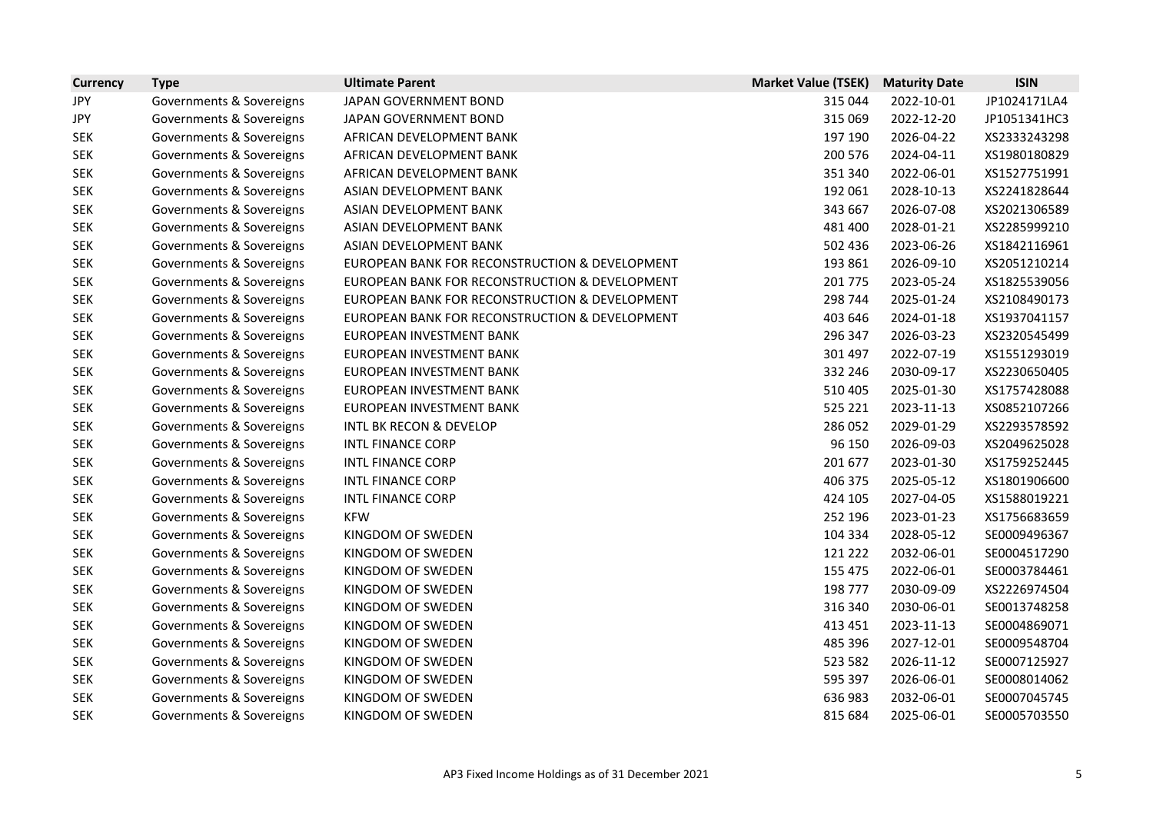| <b>Currency</b> | <b>Type</b>              | <b>Ultimate Parent</b>                         | <b>Market Value (TSEK)</b> | <b>Maturity Date</b> | <b>ISIN</b>  |
|-----------------|--------------------------|------------------------------------------------|----------------------------|----------------------|--------------|
| JPY             | Governments & Sovereigns | JAPAN GOVERNMENT BOND                          | 315 044                    | 2022-10-01           | JP1024171LA4 |
| JPY             | Governments & Sovereigns | JAPAN GOVERNMENT BOND                          | 315 069                    | 2022-12-20           | JP1051341HC3 |
| <b>SEK</b>      | Governments & Sovereigns | AFRICAN DEVELOPMENT BANK                       | 197 190                    | 2026-04-22           | XS2333243298 |
| <b>SEK</b>      | Governments & Sovereigns | AFRICAN DEVELOPMENT BANK                       | 200 576                    | 2024-04-11           | XS1980180829 |
| <b>SEK</b>      | Governments & Sovereigns | AFRICAN DEVELOPMENT BANK                       | 351 340                    | 2022-06-01           | XS1527751991 |
| <b>SEK</b>      | Governments & Sovereigns | ASIAN DEVELOPMENT BANK                         | 192 061                    | 2028-10-13           | XS2241828644 |
| <b>SEK</b>      | Governments & Sovereigns | ASIAN DEVELOPMENT BANK                         | 343 667                    | 2026-07-08           | XS2021306589 |
| <b>SEK</b>      | Governments & Sovereigns | ASIAN DEVELOPMENT BANK                         | 481 400                    | 2028-01-21           | XS2285999210 |
| <b>SEK</b>      | Governments & Sovereigns | ASIAN DEVELOPMENT BANK                         | 502 436                    | 2023-06-26           | XS1842116961 |
| <b>SEK</b>      | Governments & Sovereigns | EUROPEAN BANK FOR RECONSTRUCTION & DEVELOPMENT | 193 861                    | 2026-09-10           | XS2051210214 |
| <b>SEK</b>      | Governments & Sovereigns | EUROPEAN BANK FOR RECONSTRUCTION & DEVELOPMENT | 201 775                    | 2023-05-24           | XS1825539056 |
| <b>SEK</b>      | Governments & Sovereigns | EUROPEAN BANK FOR RECONSTRUCTION & DEVELOPMENT | 298 744                    | 2025-01-24           | XS2108490173 |
| <b>SEK</b>      | Governments & Sovereigns | EUROPEAN BANK FOR RECONSTRUCTION & DEVELOPMENT | 403 646                    | 2024-01-18           | XS1937041157 |
| <b>SEK</b>      | Governments & Sovereigns | EUROPEAN INVESTMENT BANK                       | 296 347                    | 2026-03-23           | XS2320545499 |
| <b>SEK</b>      | Governments & Sovereigns | EUROPEAN INVESTMENT BANK                       | 301 497                    | 2022-07-19           | XS1551293019 |
| <b>SEK</b>      | Governments & Sovereigns | EUROPEAN INVESTMENT BANK                       | 332 246                    | 2030-09-17           | XS2230650405 |
| <b>SEK</b>      | Governments & Sovereigns | EUROPEAN INVESTMENT BANK                       | 510 405                    | 2025-01-30           | XS1757428088 |
| <b>SEK</b>      | Governments & Sovereigns | EUROPEAN INVESTMENT BANK                       | 525 221                    | 2023-11-13           | XS0852107266 |
| <b>SEK</b>      | Governments & Sovereigns | <b>INTL BK RECON &amp; DEVELOP</b>             | 286 052                    | 2029-01-29           | XS2293578592 |
| <b>SEK</b>      | Governments & Sovereigns | <b>INTL FINANCE CORP</b>                       | 96 150                     | 2026-09-03           | XS2049625028 |
| <b>SEK</b>      | Governments & Sovereigns | <b>INTL FINANCE CORP</b>                       | 201 677                    | 2023-01-30           | XS1759252445 |
| <b>SEK</b>      | Governments & Sovereigns | <b>INTL FINANCE CORP</b>                       | 406 375                    | 2025-05-12           | XS1801906600 |
| <b>SEK</b>      | Governments & Sovereigns | <b>INTL FINANCE CORP</b>                       | 424 105                    | 2027-04-05           | XS1588019221 |
| <b>SEK</b>      | Governments & Sovereigns | <b>KFW</b>                                     | 252 196                    | 2023-01-23           | XS1756683659 |
| <b>SEK</b>      | Governments & Sovereigns | KINGDOM OF SWEDEN                              | 104 334                    | 2028-05-12           | SE0009496367 |
| <b>SEK</b>      | Governments & Sovereigns | KINGDOM OF SWEDEN                              | 121 222                    | 2032-06-01           | SE0004517290 |
| <b>SEK</b>      | Governments & Sovereigns | KINGDOM OF SWEDEN                              | 155 475                    | 2022-06-01           | SE0003784461 |
| <b>SEK</b>      | Governments & Sovereigns | KINGDOM OF SWEDEN                              | 198 777                    | 2030-09-09           | XS2226974504 |
| <b>SEK</b>      | Governments & Sovereigns | KINGDOM OF SWEDEN                              | 316 340                    | 2030-06-01           | SE0013748258 |
| <b>SEK</b>      | Governments & Sovereigns | KINGDOM OF SWEDEN                              | 413 451                    | 2023-11-13           | SE0004869071 |
| <b>SEK</b>      | Governments & Sovereigns | KINGDOM OF SWEDEN                              | 485 396                    | 2027-12-01           | SE0009548704 |
| <b>SEK</b>      | Governments & Sovereigns | KINGDOM OF SWEDEN                              | 523 582                    | 2026-11-12           | SE0007125927 |
| <b>SEK</b>      | Governments & Sovereigns | KINGDOM OF SWEDEN                              | 595 397                    | 2026-06-01           | SE0008014062 |
| <b>SEK</b>      | Governments & Sovereigns | KINGDOM OF SWEDEN                              | 636 983                    | 2032-06-01           | SE0007045745 |
| <b>SEK</b>      | Governments & Sovereigns | KINGDOM OF SWEDEN                              | 815 684                    | 2025-06-01           | SE0005703550 |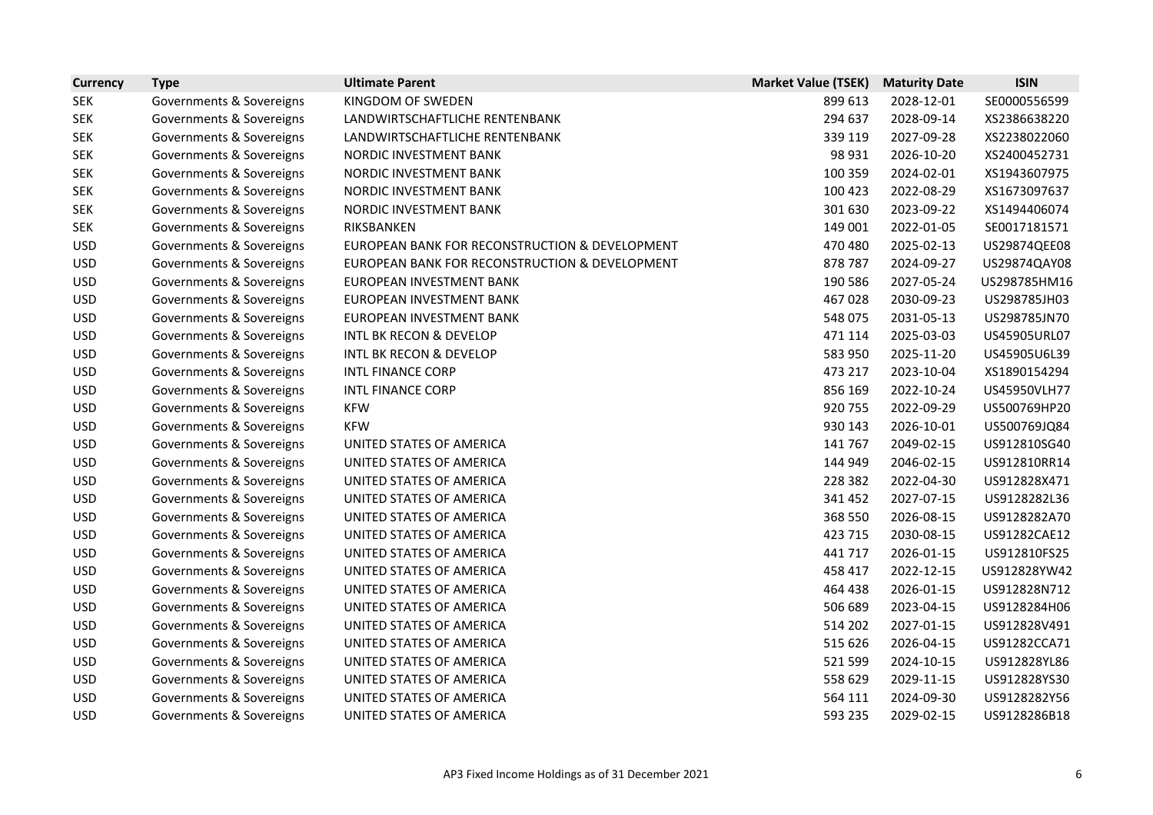| <b>Currency</b> | <b>Type</b>              | <b>Ultimate Parent</b>                         | <b>Market Value (TSEK)</b> | <b>Maturity Date</b> | <b>ISIN</b>  |
|-----------------|--------------------------|------------------------------------------------|----------------------------|----------------------|--------------|
| <b>SEK</b>      | Governments & Sovereigns | KINGDOM OF SWEDEN                              | 899 613                    | 2028-12-01           | SE0000556599 |
| <b>SEK</b>      | Governments & Sovereigns | LANDWIRTSCHAFTLICHE RENTENBANK                 | 294 637                    | 2028-09-14           | XS2386638220 |
| <b>SEK</b>      | Governments & Sovereigns | LANDWIRTSCHAFTLICHE RENTENBANK                 | 339 119                    | 2027-09-28           | XS2238022060 |
| <b>SEK</b>      | Governments & Sovereigns | NORDIC INVESTMENT BANK                         | 98 931                     | 2026-10-20           | XS2400452731 |
| <b>SEK</b>      | Governments & Sovereigns | NORDIC INVESTMENT BANK                         | 100 359                    | 2024-02-01           | XS1943607975 |
| <b>SEK</b>      | Governments & Sovereigns | NORDIC INVESTMENT BANK                         | 100 423                    | 2022-08-29           | XS1673097637 |
| <b>SEK</b>      | Governments & Sovereigns | NORDIC INVESTMENT BANK                         | 301 630                    | 2023-09-22           | XS1494406074 |
| <b>SEK</b>      | Governments & Sovereigns | RIKSBANKEN                                     | 149 001                    | 2022-01-05           | SE0017181571 |
| <b>USD</b>      | Governments & Sovereigns | EUROPEAN BANK FOR RECONSTRUCTION & DEVELOPMENT | 470 480                    | 2025-02-13           | US29874QEE08 |
| <b>USD</b>      | Governments & Sovereigns | EUROPEAN BANK FOR RECONSTRUCTION & DEVELOPMENT | 878 787                    | 2024-09-27           | US29874QAY08 |
| <b>USD</b>      | Governments & Sovereigns | EUROPEAN INVESTMENT BANK                       | 190 586                    | 2027-05-24           | US298785HM16 |
| <b>USD</b>      | Governments & Sovereigns | EUROPEAN INVESTMENT BANK                       | 467028                     | 2030-09-23           | US298785JH03 |
| <b>USD</b>      | Governments & Sovereigns | EUROPEAN INVESTMENT BANK                       | 548 075                    | 2031-05-13           | US298785JN70 |
| <b>USD</b>      | Governments & Sovereigns | <b>INTL BK RECON &amp; DEVELOP</b>             | 471 114                    | 2025-03-03           | US45905URL07 |
| <b>USD</b>      | Governments & Sovereigns | <b>INTL BK RECON &amp; DEVELOP</b>             | 583 950                    | 2025-11-20           | US45905U6L39 |
| <b>USD</b>      | Governments & Sovereigns | <b>INTL FINANCE CORP</b>                       | 473 217                    | 2023-10-04           | XS1890154294 |
| <b>USD</b>      | Governments & Sovereigns | <b>INTL FINANCE CORP</b>                       | 856 169                    | 2022-10-24           | US45950VLH77 |
| <b>USD</b>      | Governments & Sovereigns | <b>KFW</b>                                     | 920 755                    | 2022-09-29           | US500769HP20 |
| <b>USD</b>      | Governments & Sovereigns | <b>KFW</b>                                     | 930 143                    | 2026-10-01           | US500769JQ84 |
| <b>USD</b>      | Governments & Sovereigns | UNITED STATES OF AMERICA                       | 141 767                    | 2049-02-15           | US912810SG40 |
| <b>USD</b>      | Governments & Sovereigns | UNITED STATES OF AMERICA                       | 144 949                    | 2046-02-15           | US912810RR14 |
| <b>USD</b>      | Governments & Sovereigns | UNITED STATES OF AMERICA                       | 228 382                    | 2022-04-30           | US912828X471 |
| <b>USD</b>      | Governments & Sovereigns | UNITED STATES OF AMERICA                       | 341 452                    | 2027-07-15           | US9128282L36 |
| <b>USD</b>      | Governments & Sovereigns | UNITED STATES OF AMERICA                       | 368 550                    | 2026-08-15           | US9128282A70 |
| <b>USD</b>      | Governments & Sovereigns | UNITED STATES OF AMERICA                       | 423 715                    | 2030-08-15           | US91282CAE12 |
| <b>USD</b>      | Governments & Sovereigns | UNITED STATES OF AMERICA                       | 441717                     | 2026-01-15           | US912810FS25 |
| <b>USD</b>      | Governments & Sovereigns | UNITED STATES OF AMERICA                       | 458 417                    | 2022-12-15           | US912828YW42 |
| <b>USD</b>      | Governments & Sovereigns | UNITED STATES OF AMERICA                       | 464 438                    | 2026-01-15           | US912828N712 |
| <b>USD</b>      | Governments & Sovereigns | UNITED STATES OF AMERICA                       | 506 689                    | 2023-04-15           | US9128284H06 |
| <b>USD</b>      | Governments & Sovereigns | UNITED STATES OF AMERICA                       | 514 202                    | 2027-01-15           | US912828V491 |
| <b>USD</b>      | Governments & Sovereigns | UNITED STATES OF AMERICA                       | 515 626                    | 2026-04-15           | US91282CCA71 |
| <b>USD</b>      | Governments & Sovereigns | UNITED STATES OF AMERICA                       | 521 599                    | 2024-10-15           | US912828YL86 |
| <b>USD</b>      | Governments & Sovereigns | UNITED STATES OF AMERICA                       | 558 629                    | 2029-11-15           | US912828YS30 |
| <b>USD</b>      | Governments & Sovereigns | UNITED STATES OF AMERICA                       | 564 111                    | 2024-09-30           | US9128282Y56 |
| <b>USD</b>      | Governments & Sovereigns | UNITED STATES OF AMERICA                       | 593 235                    | 2029-02-15           | US9128286B18 |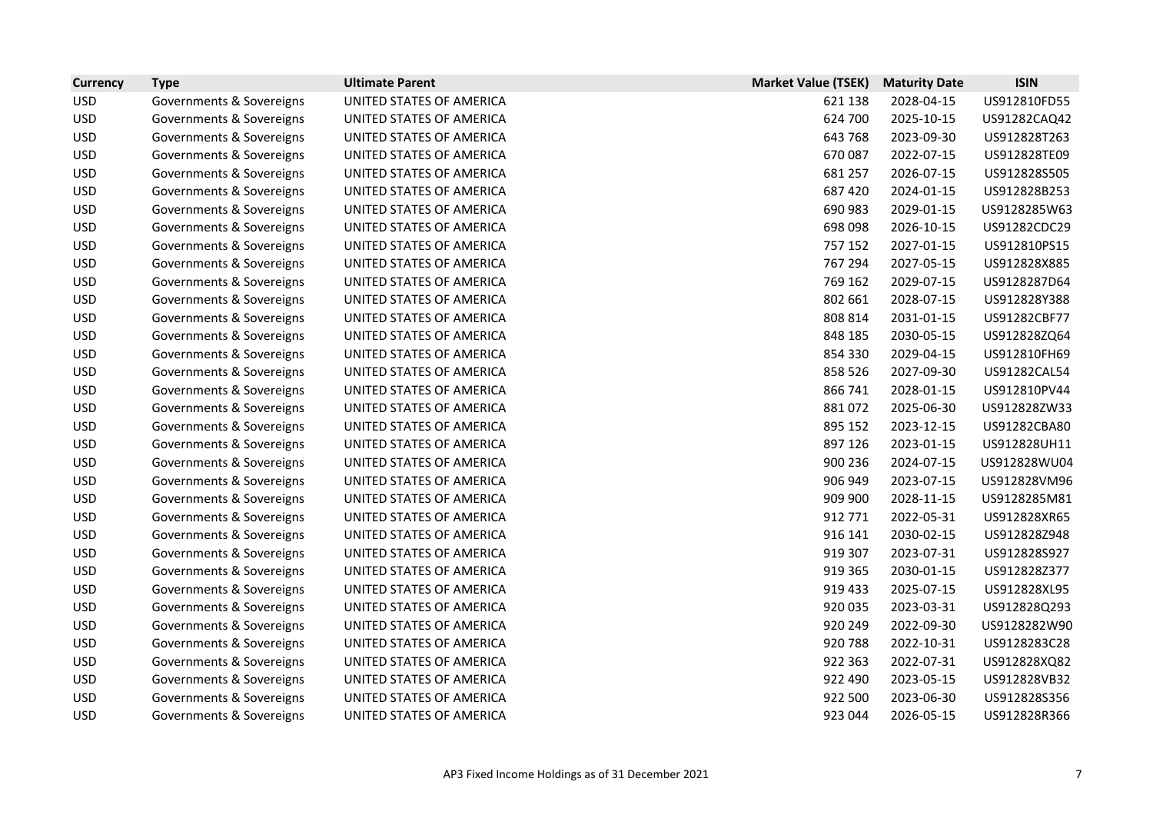| <b>Currency</b> | <b>Type</b>              | <b>Ultimate Parent</b>   | <b>Market Value (TSEK)</b> | <b>Maturity Date</b> | <b>ISIN</b>  |
|-----------------|--------------------------|--------------------------|----------------------------|----------------------|--------------|
| <b>USD</b>      | Governments & Sovereigns | UNITED STATES OF AMERICA | 621 138                    | 2028-04-15           | US912810FD55 |
| <b>USD</b>      | Governments & Sovereigns | UNITED STATES OF AMERICA | 624 700                    | 2025-10-15           | US91282CAQ42 |
| <b>USD</b>      | Governments & Sovereigns | UNITED STATES OF AMERICA | 643 768                    | 2023-09-30           | US912828T263 |
| <b>USD</b>      | Governments & Sovereigns | UNITED STATES OF AMERICA | 670 087                    | 2022-07-15           | US912828TE09 |
| <b>USD</b>      | Governments & Sovereigns | UNITED STATES OF AMERICA | 681 257                    | 2026-07-15           | US912828S505 |
| <b>USD</b>      | Governments & Sovereigns | UNITED STATES OF AMERICA | 687 420                    | 2024-01-15           | US912828B253 |
| <b>USD</b>      | Governments & Sovereigns | UNITED STATES OF AMERICA | 690 983                    | 2029-01-15           | US9128285W63 |
| <b>USD</b>      | Governments & Sovereigns | UNITED STATES OF AMERICA | 698 098                    | 2026-10-15           | US91282CDC29 |
| <b>USD</b>      | Governments & Sovereigns | UNITED STATES OF AMERICA | 757 152                    | 2027-01-15           | US912810PS15 |
| <b>USD</b>      | Governments & Sovereigns | UNITED STATES OF AMERICA | 767 294                    | 2027-05-15           | US912828X885 |
| <b>USD</b>      | Governments & Sovereigns | UNITED STATES OF AMERICA | 769 162                    | 2029-07-15           | US9128287D64 |
| <b>USD</b>      | Governments & Sovereigns | UNITED STATES OF AMERICA | 802 661                    | 2028-07-15           | US912828Y388 |
| <b>USD</b>      | Governments & Sovereigns | UNITED STATES OF AMERICA | 808 814                    | 2031-01-15           | US91282CBF77 |
| <b>USD</b>      | Governments & Sovereigns | UNITED STATES OF AMERICA | 848 185                    | 2030-05-15           | US912828ZQ64 |
| <b>USD</b>      | Governments & Sovereigns | UNITED STATES OF AMERICA | 854 330                    | 2029-04-15           | US912810FH69 |
| <b>USD</b>      | Governments & Sovereigns | UNITED STATES OF AMERICA | 858 526                    | 2027-09-30           | US91282CAL54 |
| <b>USD</b>      | Governments & Sovereigns | UNITED STATES OF AMERICA | 866 741                    | 2028-01-15           | US912810PV44 |
| <b>USD</b>      | Governments & Sovereigns | UNITED STATES OF AMERICA | 881072                     | 2025-06-30           | US912828ZW33 |
| <b>USD</b>      | Governments & Sovereigns | UNITED STATES OF AMERICA | 895 152                    | 2023-12-15           | US91282CBA80 |
| <b>USD</b>      | Governments & Sovereigns | UNITED STATES OF AMERICA | 897 126                    | 2023-01-15           | US912828UH11 |
| <b>USD</b>      | Governments & Sovereigns | UNITED STATES OF AMERICA | 900 236                    | 2024-07-15           | US912828WU04 |
| <b>USD</b>      | Governments & Sovereigns | UNITED STATES OF AMERICA | 906 949                    | 2023-07-15           | US912828VM96 |
| <b>USD</b>      | Governments & Sovereigns | UNITED STATES OF AMERICA | 909 900                    | 2028-11-15           | US9128285M81 |
| <b>USD</b>      | Governments & Sovereigns | UNITED STATES OF AMERICA | 912 771                    | 2022-05-31           | US912828XR65 |
| <b>USD</b>      | Governments & Sovereigns | UNITED STATES OF AMERICA | 916 141                    | 2030-02-15           | US912828Z948 |
| <b>USD</b>      | Governments & Sovereigns | UNITED STATES OF AMERICA | 919 307                    | 2023-07-31           | US912828S927 |
| <b>USD</b>      | Governments & Sovereigns | UNITED STATES OF AMERICA | 919 365                    | 2030-01-15           | US912828Z377 |
| <b>USD</b>      | Governments & Sovereigns | UNITED STATES OF AMERICA | 919 433                    | 2025-07-15           | US912828XL95 |
| <b>USD</b>      | Governments & Sovereigns | UNITED STATES OF AMERICA | 920 035                    | 2023-03-31           | US912828Q293 |
| <b>USD</b>      | Governments & Sovereigns | UNITED STATES OF AMERICA | 920 249                    | 2022-09-30           | US9128282W90 |
| <b>USD</b>      | Governments & Sovereigns | UNITED STATES OF AMERICA | 920 788                    | 2022-10-31           | US9128283C28 |
| <b>USD</b>      | Governments & Sovereigns | UNITED STATES OF AMERICA | 922 363                    | 2022-07-31           | US912828XQ82 |
| <b>USD</b>      | Governments & Sovereigns | UNITED STATES OF AMERICA | 922 490                    | 2023-05-15           | US912828VB32 |
| <b>USD</b>      | Governments & Sovereigns | UNITED STATES OF AMERICA | 922 500                    | 2023-06-30           | US912828S356 |
| <b>USD</b>      | Governments & Sovereigns | UNITED STATES OF AMERICA | 923 044                    | 2026-05-15           | US912828R366 |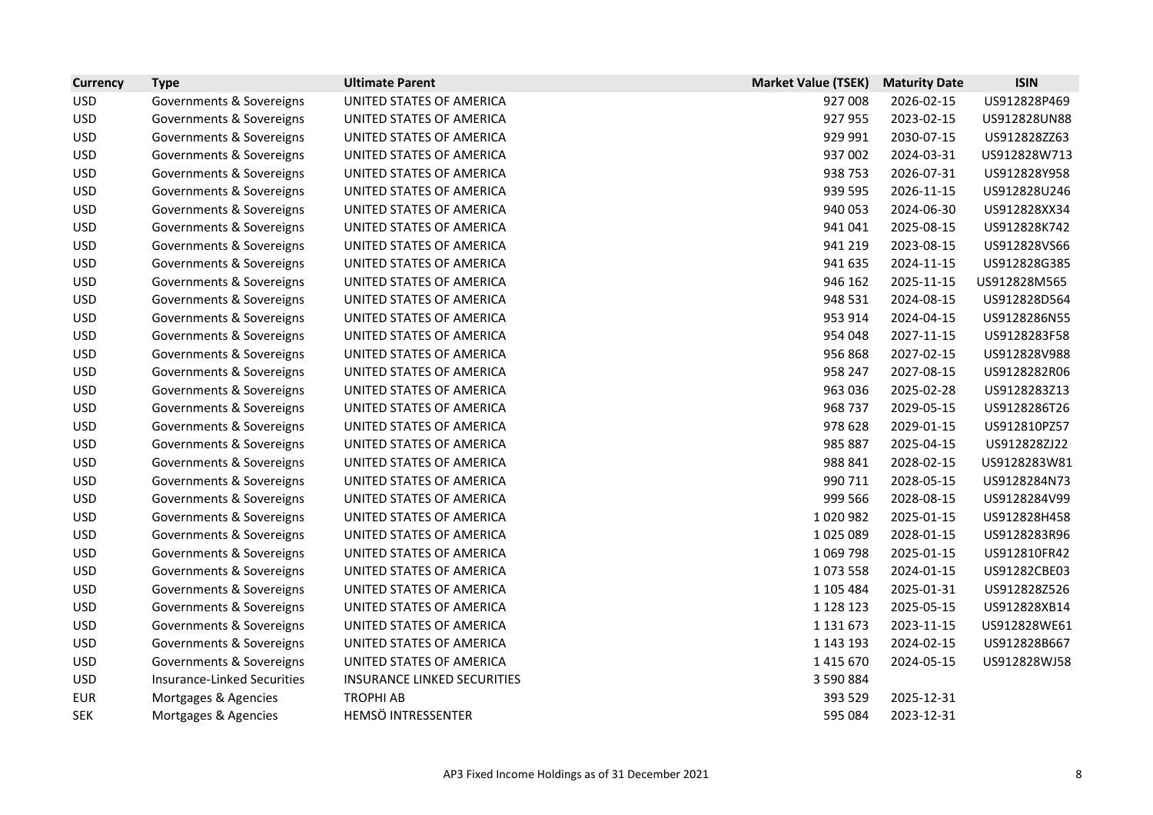| <b>Currency</b> | <b>Type</b>                        | <b>Ultimate Parent</b>             | <b>Market Value (TSEK)</b> | <b>Maturity Date</b> | <b>ISIN</b>  |
|-----------------|------------------------------------|------------------------------------|----------------------------|----------------------|--------------|
| <b>USD</b>      | Governments & Sovereigns           | UNITED STATES OF AMERICA           | 927 008                    | 2026-02-15           | US912828P469 |
| <b>USD</b>      | Governments & Sovereigns           | UNITED STATES OF AMERICA           | 927 955                    | 2023-02-15           | US912828UN88 |
| <b>USD</b>      | Governments & Sovereigns           | UNITED STATES OF AMERICA           | 929 991                    | 2030-07-15           | US912828ZZ63 |
| <b>USD</b>      | Governments & Sovereigns           | UNITED STATES OF AMERICA           | 937 002                    | 2024-03-31           | US912828W713 |
| <b>USD</b>      | Governments & Sovereigns           | UNITED STATES OF AMERICA           | 938 753                    | 2026-07-31           | US912828Y958 |
| <b>USD</b>      | Governments & Sovereigns           | UNITED STATES OF AMERICA           | 939 595                    | 2026-11-15           | US912828U246 |
| <b>USD</b>      | Governments & Sovereigns           | UNITED STATES OF AMERICA           | 940 053                    | 2024-06-30           | US912828XX34 |
| <b>USD</b>      | Governments & Sovereigns           | UNITED STATES OF AMERICA           | 941 041                    | 2025-08-15           | US912828K742 |
| <b>USD</b>      | Governments & Sovereigns           | UNITED STATES OF AMERICA           | 941 219                    | 2023-08-15           | US912828VS66 |
| <b>USD</b>      | Governments & Sovereigns           | UNITED STATES OF AMERICA           | 941 635                    | 2024-11-15           | US912828G385 |
| <b>USD</b>      | Governments & Sovereigns           | UNITED STATES OF AMERICA           | 946 162                    | 2025-11-15           | US912828M565 |
| <b>USD</b>      | Governments & Sovereigns           | UNITED STATES OF AMERICA           | 948 531                    | 2024-08-15           | US912828D564 |
| <b>USD</b>      | Governments & Sovereigns           | UNITED STATES OF AMERICA           | 953 914                    | 2024-04-15           | US9128286N55 |
| <b>USD</b>      | Governments & Sovereigns           | UNITED STATES OF AMERICA           | 954 048                    | 2027-11-15           | US9128283F58 |
| <b>USD</b>      | Governments & Sovereigns           | UNITED STATES OF AMERICA           | 956 868                    | 2027-02-15           | US912828V988 |
| <b>USD</b>      | Governments & Sovereigns           | UNITED STATES OF AMERICA           | 958 247                    | 2027-08-15           | US9128282R06 |
| <b>USD</b>      | Governments & Sovereigns           | UNITED STATES OF AMERICA           | 963 036                    | 2025-02-28           | US9128283Z13 |
| <b>USD</b>      | Governments & Sovereigns           | UNITED STATES OF AMERICA           | 968 737                    | 2029-05-15           | US9128286T26 |
| <b>USD</b>      | Governments & Sovereigns           | UNITED STATES OF AMERICA           | 978 628                    | 2029-01-15           | US912810PZ57 |
| <b>USD</b>      | Governments & Sovereigns           | UNITED STATES OF AMERICA           | 985 887                    | 2025-04-15           | US912828ZJ22 |
| <b>USD</b>      | Governments & Sovereigns           | UNITED STATES OF AMERICA           | 988 841                    | 2028-02-15           | US9128283W81 |
| <b>USD</b>      | Governments & Sovereigns           | UNITED STATES OF AMERICA           | 990 711                    | 2028-05-15           | US9128284N73 |
| <b>USD</b>      | Governments & Sovereigns           | UNITED STATES OF AMERICA           | 999 566                    | 2028-08-15           | US9128284V99 |
| <b>USD</b>      | Governments & Sovereigns           | UNITED STATES OF AMERICA           | 1020982                    | 2025-01-15           | US912828H458 |
| <b>USD</b>      | Governments & Sovereigns           | UNITED STATES OF AMERICA           | 1025089                    | 2028-01-15           | US9128283R96 |
| <b>USD</b>      | Governments & Sovereigns           | UNITED STATES OF AMERICA           | 1 0 69 7 98                | 2025-01-15           | US912810FR42 |
| <b>USD</b>      | Governments & Sovereigns           | UNITED STATES OF AMERICA           | 1073558                    | 2024-01-15           | US91282CBE03 |
| <b>USD</b>      | Governments & Sovereigns           | UNITED STATES OF AMERICA           | 1 105 484                  | 2025-01-31           | US912828Z526 |
| <b>USD</b>      | Governments & Sovereigns           | UNITED STATES OF AMERICA           | 1 1 2 1 1 2 3              | 2025-05-15           | US912828XB14 |
| <b>USD</b>      | Governments & Sovereigns           | UNITED STATES OF AMERICA           | 1 1 3 1 6 7 3              | 2023-11-15           | US912828WE61 |
| <b>USD</b>      | Governments & Sovereigns           | UNITED STATES OF AMERICA           | 1 143 193                  | 2024-02-15           | US912828B667 |
| <b>USD</b>      | Governments & Sovereigns           | UNITED STATES OF AMERICA           | 1 4 1 5 6 7 0              | 2024-05-15           | US912828WJ58 |
| <b>USD</b>      | <b>Insurance-Linked Securities</b> | <b>INSURANCE LINKED SECURITIES</b> | 3 590 884                  |                      |              |
| <b>EUR</b>      | Mortgages & Agencies               | <b>TROPHI AB</b>                   | 393 529                    | 2025-12-31           |              |
| <b>SEK</b>      | Mortgages & Agencies               | HEMSÖ INTRESSENTER                 | 595 084                    | 2023-12-31           |              |